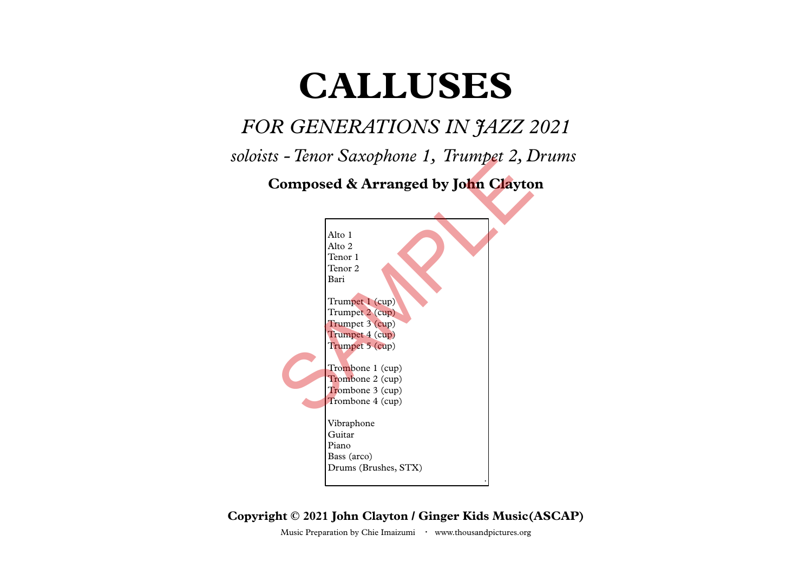## **CALLUSES CALLUSES**<br>*FOR GENERATIONS IN JAZZ 2021*<br>*bloists - Tenor Saxophone 1, Trumpet 2, Drums*<br>Composed & Arranged by John Clayton

**Composed & Arranged by John Clayton**



**Copyright © 2021 John Clayton / Ginger Kids Music(ASCAP)**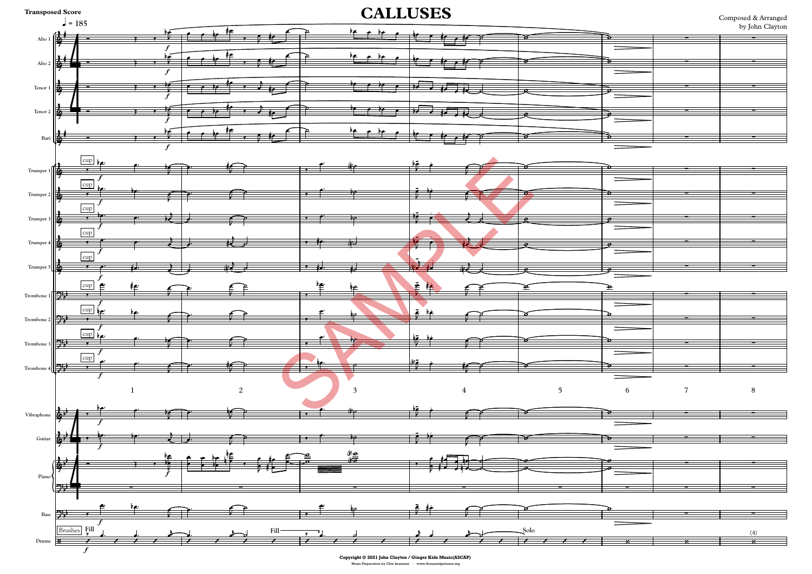

**Copyright © 2021 John Clayton / Ginger Kids Music(ASCAP)** 

 $\mbox{\texttt{Music Preparation}}$  by  $\mbox{\texttt{Chie Imaizumi}} \quad \mbox{\texttt{www.thousandpictures.org}}$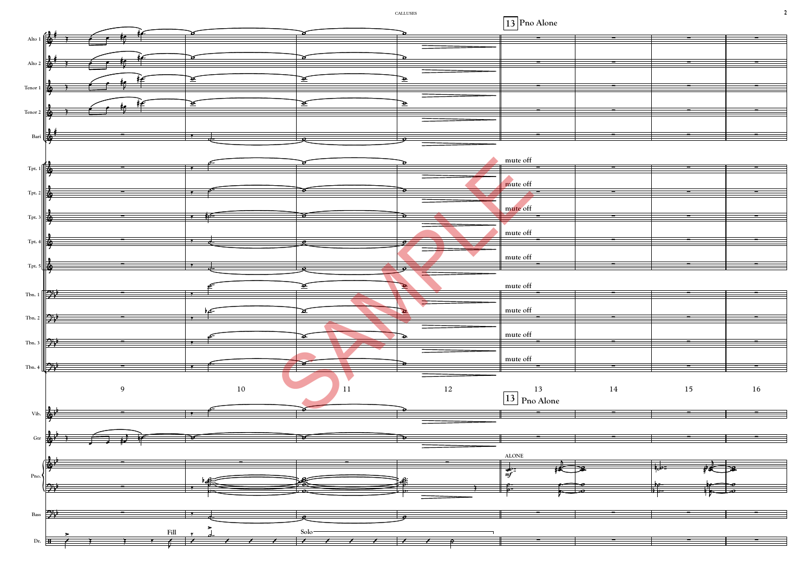